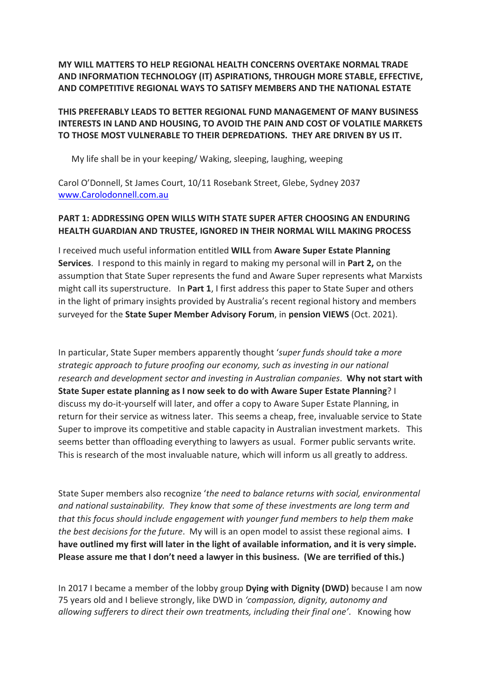## **MY WILL MATTERS TO HELP REGIONAL HEALTH CONCERNS OVERTAKE NORMAL TRADE AND INFORMATION TECHNOLOGY (IT) ASPIRATIONS, THROUGH MORE STABLE, EFFECTIVE, AND COMPETITIVE REGIONAL WAYS TO SATISFY MEMBERS AND THE NATIONAL ESTATE**

## **THIS PREFERABLY LEADS TO BETTER REGIONAL FUND MANAGEMENT OF MANY BUSINESS INTERESTS IN LAND AND HOUSING, TO AVOID THE PAIN AND COST OF VOLATILE MARKETS TO THOSE MOST VULNERABLE TO THEIR DEPREDATIONS. THEY ARE DRIVEN BY US IT.**

My life shall be in your keeping/ Waking, sleeping, laughing, weeping

Carol O'Donnell, St James Court, 10/11 Rosebank Street, Glebe, Sydney 2037 www.Carolodonnell.com.au

## **PART 1: ADDRESSING OPEN WILLS WITH STATE SUPER AFTER CHOOSING AN ENDURING HEALTH GUARDIAN AND TRUSTEE, IGNORED IN THEIR NORMAL WILL MAKING PROCESS**

I received much useful information entitled **WILL** from **Aware Super Estate Planning Services**. I respond to this mainly in regard to making my personal will in **Part 2,** on the assumption that State Super represents the fund and Aware Super represents what Marxists might call its superstructure. In **Part 1**, I first address this paper to State Super and others in the light of primary insights provided by Australia's recent regional history and members surveyed for the **State Super Member Advisory Forum**, in **pension VIEWS** (Oct. 2021).

In particular, State Super members apparently thought '*super funds should take a more strategic approach to future proofing our economy, such as investing in our national research and development sector and investing in Australian companies*. **Why not start with State Super estate planning as I now seek to do with Aware Super Estate Planning**? I discuss my do-it-yourself will later, and offer a copy to Aware Super Estate Planning, in return for their service as witness later. This seems a cheap, free, invaluable service to State Super to improve its competitive and stable capacity in Australian investment markets. This seems better than offloading everything to lawyers as usual. Former public servants write. This is research of the most invaluable nature, which will inform us all greatly to address.

State Super members also recognize '*the need to balance returns with social, environmental and national sustainability. They know that some of these investments are long term and that this focus should include engagement with younger fund members to help them make the best decisions for the future*. My will is an open model to assist these regional aims. **I have outlined my first will later in the light of available information, and it is very simple. Please assure me that I don't need a lawyer in this business. (We are terrified of this.)**

In 2017 I became a member of the lobby group **Dying with Dignity (DWD)** because I am now 75 years old and I believe strongly, like DWD in *'compassion, dignity, autonomy and allowing sufferers to direct their own treatments, including their final one'*. Knowing how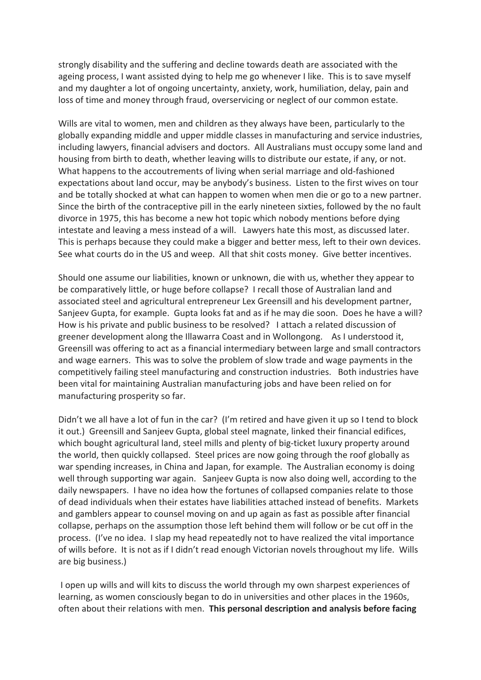strongly disability and the suffering and decline towards death are associated with the ageing process, I want assisted dying to help me go whenever I like. This is to save myself and my daughter a lot of ongoing uncertainty, anxiety, work, humiliation, delay, pain and loss of time and money through fraud, overservicing or neglect of our common estate.

Wills are vital to women, men and children as they always have been, particularly to the globally expanding middle and upper middle classes in manufacturing and service industries, including lawyers, financial advisers and doctors. All Australians must occupy some land and housing from birth to death, whether leaving wills to distribute our estate, if any, or not. What happens to the accoutrements of living when serial marriage and old-fashioned expectations about land occur, may be anybody's business. Listen to the first wives on tour and be totally shocked at what can happen to women when men die or go to a new partner. Since the birth of the contraceptive pill in the early nineteen sixties, followed by the no fault divorce in 1975, this has become a new hot topic which nobody mentions before dying intestate and leaving a mess instead of a will. Lawyers hate this most, as discussed later. This is perhaps because they could make a bigger and better mess, left to their own devices. See what courts do in the US and weep. All that shit costs money. Give better incentives.

Should one assume our liabilities, known or unknown, die with us, whether they appear to be comparatively little, or huge before collapse? I recall those of Australian land and associated steel and agricultural entrepreneur Lex Greensill and his development partner, Sanjeev Gupta, for example. Gupta looks fat and as if he may die soon. Does he have a will? How is his private and public business to be resolved? I attach a related discussion of greener development along the Illawarra Coast and in Wollongong. As I understood it, Greensill was offering to act as a financial intermediary between large and small contractors and wage earners. This was to solve the problem of slow trade and wage payments in the competitively failing steel manufacturing and construction industries. Both industries have been vital for maintaining Australian manufacturing jobs and have been relied on for manufacturing prosperity so far.

Didn't we all have a lot of fun in the car? (I'm retired and have given it up so I tend to block it out.) Greensill and Sanjeev Gupta, global steel magnate, linked their financial edifices, which bought agricultural land, steel mills and plenty of big-ticket luxury property around the world, then quickly collapsed. Steel prices are now going through the roof globally as war spending increases, in China and Japan, for example. The Australian economy is doing well through supporting war again. Sanjeev Gupta is now also doing well, according to the daily newspapers. I have no idea how the fortunes of collapsed companies relate to those of dead individuals when their estates have liabilities attached instead of benefits. Markets and gamblers appear to counsel moving on and up again as fast as possible after financial collapse, perhaps on the assumption those left behind them will follow or be cut off in the process. (I've no idea. I slap my head repeatedly not to have realized the vital importance of wills before. It is not as if I didn't read enough Victorian novels throughout my life. Wills are big business.)

I open up wills and will kits to discuss the world through my own sharpest experiences of learning, as women consciously began to do in universities and other places in the 1960s, often about their relations with men. **This personal description and analysis before facing**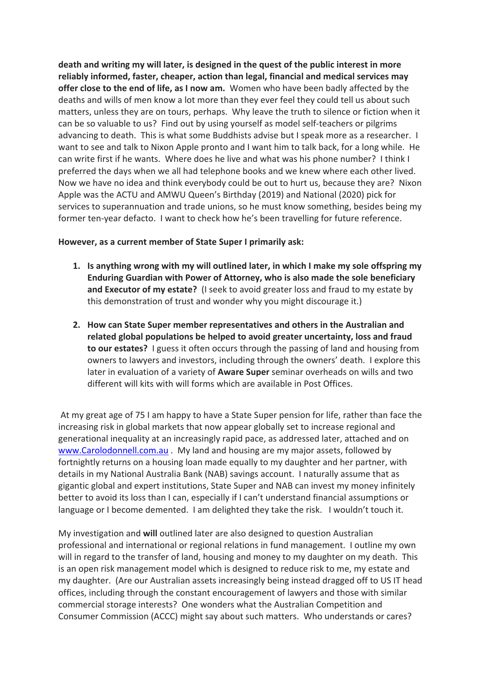**death and writing my will later, is designed in the quest of the public interest in more reliably informed, faster, cheaper, action than legal, financial and medical services may offer close to the end of life, as I now am.** Women who have been badly affected by the deaths and wills of men know a lot more than they ever feel they could tell us about such matters, unless they are on tours, perhaps. Why leave the truth to silence or fiction when it can be so valuable to us? Find out by using yourself as model self-teachers or pilgrims advancing to death. This is what some Buddhists advise but I speak more as a researcher. I want to see and talk to Nixon Apple pronto and I want him to talk back, for a long while. He can write first if he wants. Where does he live and what was his phone number? I think I preferred the days when we all had telephone books and we knew where each other lived. Now we have no idea and think everybody could be out to hurt us, because they are? Nixon Apple was the ACTU and AMWU Queen's Birthday (2019) and National (2020) pick for services to superannuation and trade unions, so he must know something, besides being my former ten-year defacto. I want to check how he's been travelling for future reference.

#### **However, as a current member of State Super I primarily ask:**

- **1. Is anything wrong with my will outlined later, in which I make my sole offspring my Enduring Guardian with Power of Attorney, who is also made the sole beneficiary and Executor of my estate?** (I seek to avoid greater loss and fraud to my estate by this demonstration of trust and wonder why you might discourage it.)
- **2. How can State Super member representatives and others in the Australian and related global populations be helped to avoid greater uncertainty, loss and fraud to our estates?** I guess it often occurs through the passing of land and housing from owners to lawyers and investors, including through the owners' death. I explore this later in evaluation of a variety of **Aware Super** seminar overheads on wills and two different will kits with will forms which are available in Post Offices.

At my great age of 75 I am happy to have a State Super pension for life, rather than face the increasing risk in global markets that now appear globally set to increase regional and generational inequality at an increasingly rapid pace, as addressed later, attached and on www.Carolodonnell.com.au . My land and housing are my major assets, followed by fortnightly returns on a housing loan made equally to my daughter and her partner, with details in my National Australia Bank (NAB) savings account. I naturally assume that as gigantic global and expert institutions, State Super and NAB can invest my money infinitely better to avoid its loss than I can, especially if I can't understand financial assumptions or language or I become demented. I am delighted they take the risk. I wouldn't touch it.

My investigation and **will** outlined later are also designed to question Australian professional and international or regional relations in fund management. I outline my own will in regard to the transfer of land, housing and money to my daughter on my death. This is an open risk management model which is designed to reduce risk to me, my estate and my daughter. (Are our Australian assets increasingly being instead dragged off to US IT head offices, including through the constant encouragement of lawyers and those with similar commercial storage interests? One wonders what the Australian Competition and Consumer Commission (ACCC) might say about such matters. Who understands or cares?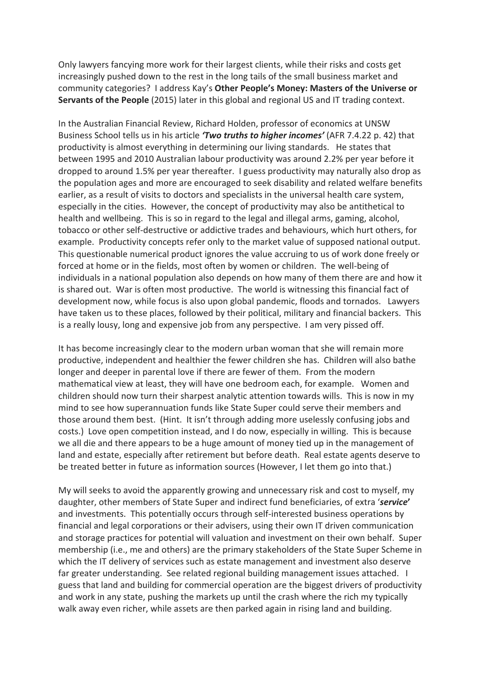Only lawyers fancying more work for their largest clients, while their risks and costs get increasingly pushed down to the rest in the long tails of the small business market and community categories? I address Kay's **Other People's Money: Masters of the Universe or Servants of the People** (2015) later in this global and regional US and IT trading context.

In the Australian Financial Review, Richard Holden, professor of economics at UNSW Business School tells us in his article *'Two truths to higher incomes'* (AFR 7.4.22 p. 42) that productivity is almost everything in determining our living standards. He states that between 1995 and 2010 Australian labour productivity was around 2.2% per year before it dropped to around 1.5% per year thereafter. I guess productivity may naturally also drop as the population ages and more are encouraged to seek disability and related welfare benefits earlier, as a result of visits to doctors and specialists in the universal health care system, especially in the cities. However, the concept of productivity may also be antithetical to health and wellbeing. This is so in regard to the legal and illegal arms, gaming, alcohol, tobacco or other self-destructive or addictive trades and behaviours, which hurt others, for example. Productivity concepts refer only to the market value of supposed national output. This questionable numerical product ignores the value accruing to us of work done freely or forced at home or in the fields, most often by women or children. The well-being of individuals in a national population also depends on how many of them there are and how it is shared out. War is often most productive. The world is witnessing this financial fact of development now, while focus is also upon global pandemic, floods and tornados. Lawyers have taken us to these places, followed by their political, military and financial backers. This is a really lousy, long and expensive job from any perspective. I am very pissed off.

It has become increasingly clear to the modern urban woman that she will remain more productive, independent and healthier the fewer children she has. Children will also bathe longer and deeper in parental love if there are fewer of them. From the modern mathematical view at least, they will have one bedroom each, for example. Women and children should now turn their sharpest analytic attention towards wills. This is now in my mind to see how superannuation funds like State Super could serve their members and those around them best. (Hint. It isn't through adding more uselessly confusing jobs and costs.) Love open competition instead, and I do now, especially in willing. This is because we all die and there appears to be a huge amount of money tied up in the management of land and estate, especially after retirement but before death. Real estate agents deserve to be treated better in future as information sources (However, I let them go into that.)

My will seeks to avoid the apparently growing and unnecessary risk and cost to myself, my daughter, other members of State Super and indirect fund beneficiaries, of extra '*service***'** and investments. This potentially occurs through self-interested business operations by financial and legal corporations or their advisers, using their own IT driven communication and storage practices for potential will valuation and investment on their own behalf. Super membership (i.e., me and others) are the primary stakeholders of the State Super Scheme in which the IT delivery of services such as estate management and investment also deserve far greater understanding. See related regional building management issues attached. I guess that land and building for commercial operation are the biggest drivers of productivity and work in any state, pushing the markets up until the crash where the rich my typically walk away even richer, while assets are then parked again in rising land and building.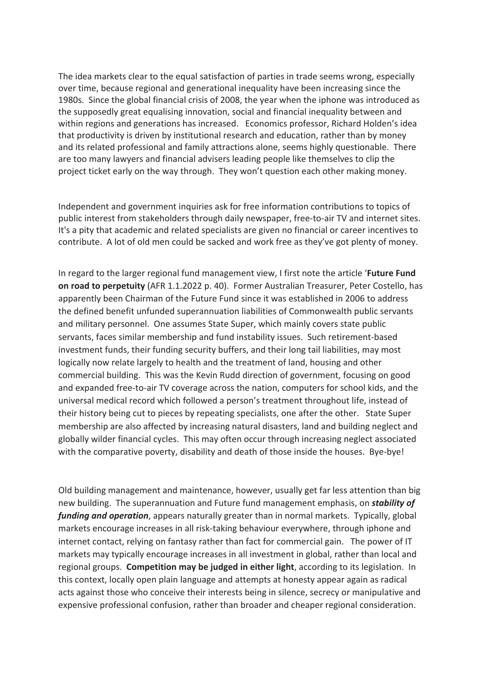The idea markets clear to the equal satisfaction of parties in trade seems wrong, especially over time, because regional and generational inequality have been increasing since the 1980s. Since the global financial crisis of 2008, the year when the iphone was introduced as the supposedly great equalising innovation, social and financial inequality between and within regions and generations has increased. Economics professor, Richard Holden's idea that productivity is driven by institutional research and education, rather than by money and its related professional and family attractions alone, seems highly questionable. There are too many lawyers and financial advisers leading people like themselves to clip the project ticket early on the way through. They won't question each other making money.

Independent and government inquiries ask for free information contributions to topics of public interest from stakeholders through daily newspaper, free-to-air TV and internet sites. It's a pity that academic and related specialists are given no financial or career incentives to contribute. A lot of old men could be sacked and work free as they've got plenty of money.

In regard to the larger regional fund management view, I first note the article '**Future Fund on road to perpetuity** (AFR 1.1.2022 p. 40). Former Australian Treasurer, Peter Costello, has apparently been Chairman of the Future Fund since it was established in 2006 to address the defined benefit unfunded superannuation liabilities of Commonwealth public servants and military personnel. One assumes State Super, which mainly covers state public servants, faces similar membership and fund instability issues. Such retirement-based investment funds, their funding security buffers, and their long tail liabilities, may most logically now relate largely to health and the treatment of land, housing and other commercial building. This was the Kevin Rudd direction of government, focusing on good and expanded free-to-air TV coverage across the nation, computers for school kids, and the universal medical record which followed a person's treatment throughout life, instead of their history being cut to pieces by repeating specialists, one after the other. State Super membership are also affected by increasing natural disasters, land and building neglect and globally wilder financial cycles. This may often occur through increasing neglect associated with the comparative poverty, disability and death of those inside the houses. Bye-bye!

Old building management and maintenance, however, usually get far less attention than big new building. The superannuation and Future fund management emphasis, on *stability of funding and operation*, appears naturally greater than in normal markets. Typically, global markets encourage increases in all risk-taking behaviour everywhere, through iphone and internet contact, relying on fantasy rather than fact for commercial gain. The power of IT markets may typically encourage increases in all investment in global, rather than local and regional groups. **Competition may be judged in either light**, according to its legislation. In this context, locally open plain language and attempts at honesty appear again as radical acts against those who conceive their interests being in silence, secrecy or manipulative and expensive professional confusion, rather than broader and cheaper regional consideration.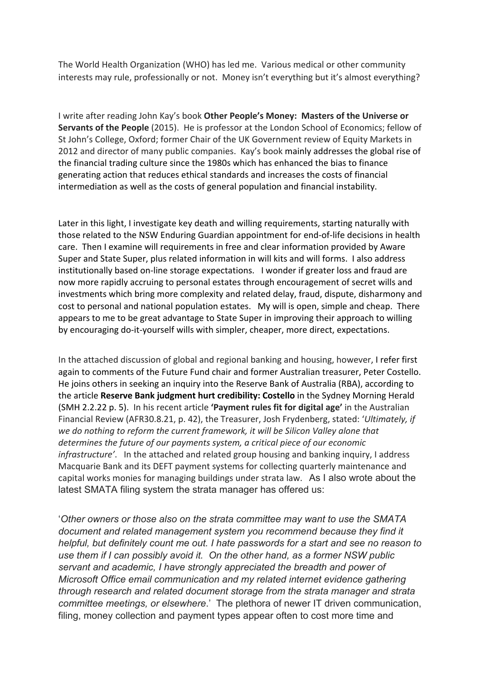The World Health Organization (WHO) has led me. Various medical or other community interests may rule, professionally or not. Money isn't everything but it's almost everything?

I write after reading John Kay's book **Other People's Money: Masters of the Universe or Servants of the People** (2015). He is professor at the London School of Economics; fellow of St John's College, Oxford; former Chair of the UK Government review of Equity Markets in 2012 and director of many public companies. Kay's book mainly addresses the global rise of the financial trading culture since the 1980s which has enhanced the bias to finance generating action that reduces ethical standards and increases the costs of financial intermediation as well as the costs of general population and financial instability.

Later in this light, I investigate key death and willing requirements, starting naturally with those related to the NSW Enduring Guardian appointment for end-of-life decisions in health care. Then I examine will requirements in free and clear information provided by Aware Super and State Super, plus related information in will kits and will forms. I also address institutionally based on-line storage expectations. I wonder if greater loss and fraud are now more rapidly accruing to personal estates through encouragement of secret wills and investments which bring more complexity and related delay, fraud, dispute, disharmony and cost to personal and national population estates. My will is open, simple and cheap. There appears to me to be great advantage to State Super in improving their approach to willing by encouraging do-it-yourself wills with simpler, cheaper, more direct, expectations.

In the attached discussion of global and regional banking and housing, however, I refer first again to comments of the Future Fund chair and former Australian treasurer, Peter Costello. He joins others in seeking an inquiry into the Reserve Bank of Australia (RBA), according to the article **Reserve Bank judgment hurt credibility: Costello** in the Sydney Morning Herald (SMH 2.2.22 p. 5). In his recent article **'Payment rules fit for digital age'** in the Australian Financial Review (AFR30.8.21, p. 42), the Treasurer, Josh Frydenberg, stated: '*Ultimately, if we do nothing to reform the current framework, it will be Silicon Valley alone that determines the future of our payments system, a critical piece of our economic infrastructure'*. In the attached and related group housing and banking inquiry, I address Macquarie Bank and its DEFT payment systems for collecting quarterly maintenance and capital works monies for managing buildings under strata law. As I also wrote about the latest SMATA filing system the strata manager has offered us:

'*Other owners or those also on the strata committee may want to use the SMATA document and related management system you recommend because they find it helpful, but definitely count me out. I hate passwords for a start and see no reason to use them if I can possibly avoid it. On the other hand, as a former NSW public servant and academic, I have strongly appreciated the breadth and power of Microsoft Office email communication and my related internet evidence gathering through research and related document storage from the strata manager and strata committee meetings, or elsewhere*.' The plethora of newer IT driven communication, filing, money collection and payment types appear often to cost more time and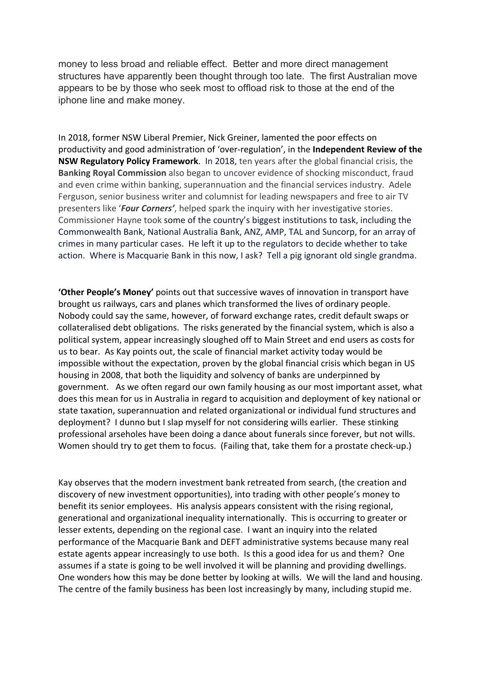money to less broad and reliable effect. Better and more direct management structures have apparently been thought through too late. The first Australian move appears to be by those who seek most to offload risk to those at the end of the iphone line and make money.

In 2018, former NSW Liberal Premier, Nick Greiner, lamented the poor effects on productivity and good administration of 'over-regulation', in the **Independent Review of the NSW Regulatory Policy Framework**. In 2018, ten years after the global financial crisis, the **Banking Royal Commission** also began to uncover evidence of shocking misconduct, fraud and even crime within banking, superannuation and the financial services industry. Adele Ferguson, senior business writer and columnist for leading newspapers and free to air TV presenters like '*Four Corners'*, helped spark the inquiry with her investigative stories. Commissioner Hayne took some of the country's biggest institutions to task, including the Commonwealth Bank, National Australia Bank, ANZ, AMP, TAL and Suncorp, for an array of crimes in many particular cases. He left it up to the regulators to decide whether to take action. Where is Macquarie Bank in this now, I ask? Tell a pig ignorant old single grandma.

**'Other People's Money'** points out that successive waves of innovation in transport have brought us railways, cars and planes which transformed the lives of ordinary people. Nobody could say the same, however, of forward exchange rates, credit default swaps or collateralised debt obligations. The risks generated by the financial system, which is also a political system, appear increasingly sloughed off to Main Street and end users as costs for us to bear. As Kay points out, the scale of financial market activity today would be impossible without the expectation, proven by the global financial crisis which began in US housing in 2008, that both the liquidity and solvency of banks are underpinned by government. As we often regard our own family housing as our most important asset, what does this mean for us in Australia in regard to acquisition and deployment of key national or state taxation, superannuation and related organizational or individual fund structures and deployment? I dunno but I slap myself for not considering wills earlier. These stinking professional arseholes have been doing a dance about funerals since forever, but not wills. Women should try to get them to focus. (Failing that, take them for a prostate check-up.)

Kay observes that the modern investment bank retreated from search, (the creation and discovery of new investment opportunities), into trading with other people's money to benefit its senior employees. His analysis appears consistent with the rising regional, generational and organizational inequality internationally. This is occurring to greater or lesser extents, depending on the regional case. I want an inquiry into the related performance of the Macquarie Bank and DEFT administrative systems because many real estate agents appear increasingly to use both. Is this a good idea for us and them? One assumes if a state is going to be well involved it will be planning and providing dwellings. One wonders how this may be done better by looking at wills. We will the land and housing. The centre of the family business has been lost increasingly by many, including stupid me.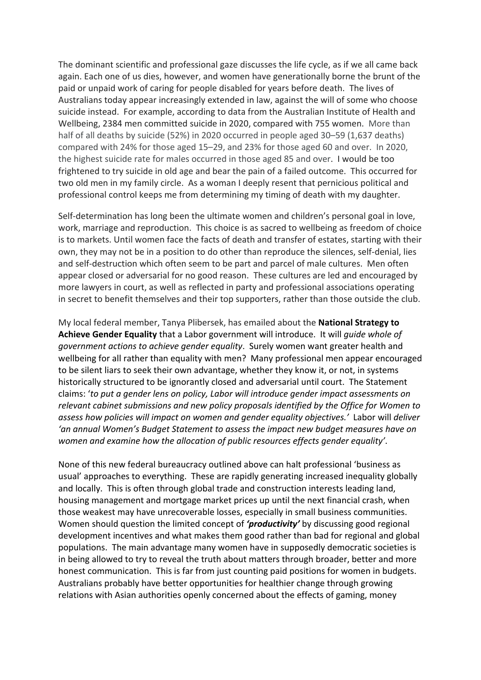The dominant scientific and professional gaze discusses the life cycle, as if we all came back again. Each one of us dies, however, and women have generationally borne the brunt of the paid or unpaid work of caring for people disabled for years before death. The lives of Australians today appear increasingly extended in law, against the will of some who choose suicide instead. For example, according to data from the Australian Institute of Health and Wellbeing, 2384 men committed suicide in 2020, compared with 755 women. More than half of all deaths by suicide (52%) in 2020 occurred in people aged 30–59 (1,637 deaths) compared with 24% for those aged 15–29, and 23% for those aged 60 and over. In 2020, the highest suicide rate for males occurred in those aged 85 and over. I would be too frightened to try suicide in old age and bear the pain of a failed outcome. This occurred for two old men in my family circle. As a woman I deeply resent that pernicious political and professional control keeps me from determining my timing of death with my daughter.

Self-determination has long been the ultimate women and children's personal goal in love, work, marriage and reproduction. This choice is as sacred to wellbeing as freedom of choice is to markets. Until women face the facts of death and transfer of estates, starting with their own, they may not be in a position to do other than reproduce the silences, self-denial, lies and self-destruction which often seem to be part and parcel of male cultures. Men often appear closed or adversarial for no good reason. These cultures are led and encouraged by more lawyers in court, as well as reflected in party and professional associations operating in secret to benefit themselves and their top supporters, rather than those outside the club.

My local federal member, Tanya Plibersek, has emailed about the **National Strategy to Achieve Gender Equality** that a Labor government will introduce. It will *guide whole of government actions to achieve gender equality*. Surely women want greater health and wellbeing for all rather than equality with men? Many professional men appear encouraged to be silent liars to seek their own advantage, whether they know it, or not, in systems historically structured to be ignorantly closed and adversarial until court. The Statement claims: '*to put a gender lens on policy, Labor will introduce gender impact assessments on relevant cabinet submissions and new policy proposals identified by the Office for Women to assess how policies will impact on women and gender equality objectives.'* Labor will *deliver 'an annual Women's Budget Statement to assess the impact new budget measures have on women and examine how the allocation of public resources effects gender equality'*.

None of this new federal bureaucracy outlined above can halt professional 'business as usual' approaches to everything. These are rapidly generating increased inequality globally and locally. This is often through global trade and construction interests leading land, housing management and mortgage market prices up until the next financial crash, when those weakest may have unrecoverable losses, especially in small business communities. Women should question the limited concept of *'productivity'* by discussing good regional development incentives and what makes them good rather than bad for regional and global populations. The main advantage many women have in supposedly democratic societies is in being allowed to try to reveal the truth about matters through broader, better and more honest communication. This is far from just counting paid positions for women in budgets. Australians probably have better opportunities for healthier change through growing relations with Asian authorities openly concerned about the effects of gaming, money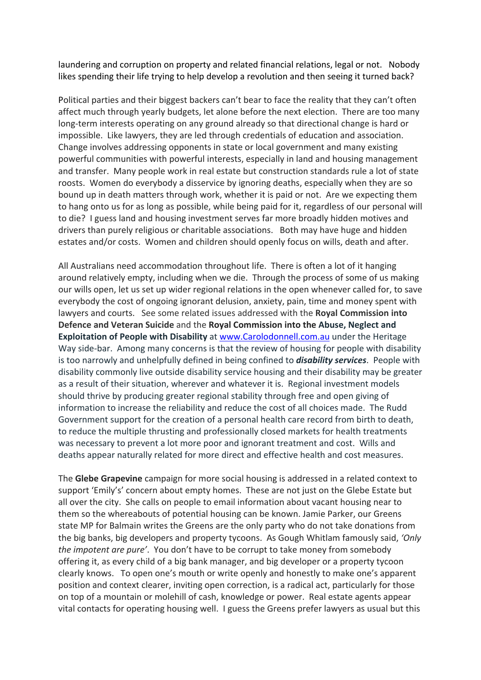laundering and corruption on property and related financial relations, legal or not. Nobody likes spending their life trying to help develop a revolution and then seeing it turned back?

Political parties and their biggest backers can't bear to face the reality that they can't often affect much through yearly budgets, let alone before the next election. There are too many long-term interests operating on any ground already so that directional change is hard or impossible. Like lawyers, they are led through credentials of education and association. Change involves addressing opponents in state or local government and many existing powerful communities with powerful interests, especially in land and housing management and transfer. Many people work in real estate but construction standards rule a lot of state roosts. Women do everybody a disservice by ignoring deaths, especially when they are so bound up in death matters through work, whether it is paid or not. Are we expecting them to hang onto us for as long as possible, while being paid for it, regardless of our personal will to die? I guess land and housing investment serves far more broadly hidden motives and drivers than purely religious or charitable associations. Both may have huge and hidden estates and/or costs. Women and children should openly focus on wills, death and after.

All Australians need accommodation throughout life. There is often a lot of it hanging around relatively empty, including when we die. Through the process of some of us making our wills open, let us set up wider regional relations in the open whenever called for, to save everybody the cost of ongoing ignorant delusion, anxiety, pain, time and money spent with lawyers and courts. See some related issues addressed with the **Royal Commission into Defence and Veteran Suicide** and the **Royal Commission into the Abuse, Neglect and Exploitation of People with Disability** at www.Carolodonnell.com.au under the Heritage Way side-bar. Among many concerns is that the review of housing for people with disability is too narrowly and unhelpfully defined in being confined to *disability services*. People with disability commonly live outside disability service housing and their disability may be greater as a result of their situation, wherever and whatever it is. Regional investment models should thrive by producing greater regional stability through free and open giving of information to increase the reliability and reduce the cost of all choices made. The Rudd Government support for the creation of a personal health care record from birth to death, to reduce the multiple thrusting and professionally closed markets for health treatments was necessary to prevent a lot more poor and ignorant treatment and cost. Wills and deaths appear naturally related for more direct and effective health and cost measures.

The **Glebe Grapevine** campaign for more social housing is addressed in a related context to support 'Emily's' concern about empty homes. These are not just on the Glebe Estate but all over the city. She calls on people to email information about vacant housing near to them so the whereabouts of potential housing can be known. Jamie Parker, our Greens state MP for Balmain writes the Greens are the only party who do not take donations from the big banks, big developers and property tycoons. As Gough Whitlam famously said, *'Only the impotent are pure'*. You don't have to be corrupt to take money from somebody offering it, as every child of a big bank manager, and big developer or a property tycoon clearly knows. To open one's mouth or write openly and honestly to make one's apparent position and context clearer, inviting open correction, is a radical act, particularly for those on top of a mountain or molehill of cash, knowledge or power. Real estate agents appear vital contacts for operating housing well. I guess the Greens prefer lawyers as usual but this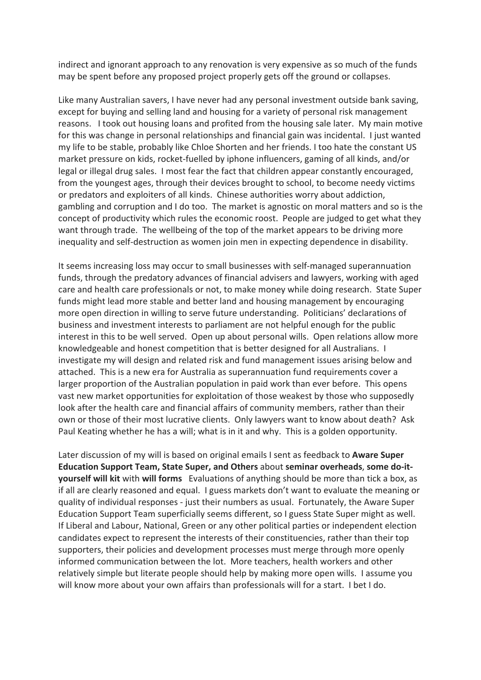indirect and ignorant approach to any renovation is very expensive as so much of the funds may be spent before any proposed project properly gets off the ground or collapses.

Like many Australian savers, I have never had any personal investment outside bank saving, except for buying and selling land and housing for a variety of personal risk management reasons. I took out housing loans and profited from the housing sale later. My main motive for this was change in personal relationships and financial gain was incidental. I just wanted my life to be stable, probably like Chloe Shorten and her friends. I too hate the constant US market pressure on kids, rocket-fuelled by iphone influencers, gaming of all kinds, and/or legal or illegal drug sales. I most fear the fact that children appear constantly encouraged, from the youngest ages, through their devices brought to school, to become needy victims or predators and exploiters of all kinds. Chinese authorities worry about addiction, gambling and corruption and I do too. The market is agnostic on moral matters and so is the concept of productivity which rules the economic roost. People are judged to get what they want through trade. The wellbeing of the top of the market appears to be driving more inequality and self-destruction as women join men in expecting dependence in disability.

It seems increasing loss may occur to small businesses with self-managed superannuation funds, through the predatory advances of financial advisers and lawyers, working with aged care and health care professionals or not, to make money while doing research. State Super funds might lead more stable and better land and housing management by encouraging more open direction in willing to serve future understanding. Politicians' declarations of business and investment interests to parliament are not helpful enough for the public interest in this to be well served. Open up about personal wills. Open relations allow more knowledgeable and honest competition that is better designed for all Australians. I investigate my will design and related risk and fund management issues arising below and attached. This is a new era for Australia as superannuation fund requirements cover a larger proportion of the Australian population in paid work than ever before. This opens vast new market opportunities for exploitation of those weakest by those who supposedly look after the health care and financial affairs of community members, rather than their own or those of their most lucrative clients. Only lawyers want to know about death? Ask Paul Keating whether he has a will; what is in it and why. This is a golden opportunity.

Later discussion of my will is based on original emails I sent as feedback to **Aware Super Education Support Team, State Super, and Others** about **seminar overheads**, **some do-ityourself will kit** with **will forms** Evaluations of anything should be more than tick a box, as if all are clearly reasoned and equal. I guess markets don't want to evaluate the meaning or quality of individual responses - just their numbers as usual. Fortunately, the Aware Super Education Support Team superficially seems different, so I guess State Super might as well. If Liberal and Labour, National, Green or any other political parties or independent election candidates expect to represent the interests of their constituencies, rather than their top supporters, their policies and development processes must merge through more openly informed communication between the lot. More teachers, health workers and other relatively simple but literate people should help by making more open wills. I assume you will know more about your own affairs than professionals will for a start. I bet I do.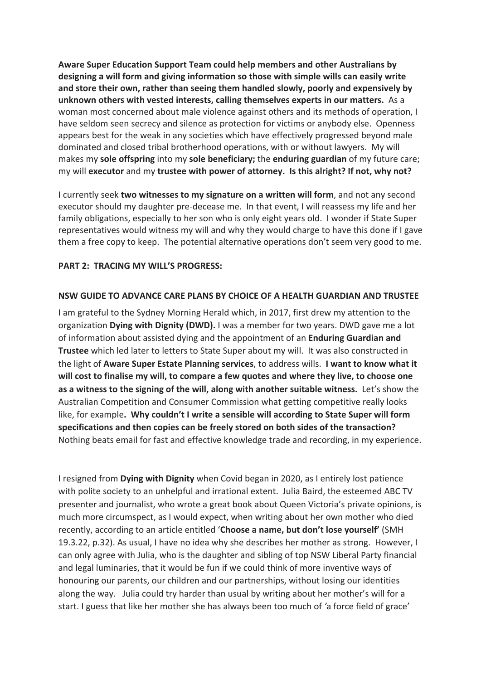**Aware Super Education Support Team could help members and other Australians by designing a will form and giving information so those with simple wills can easily write and store their own, rather than seeing them handled slowly, poorly and expensively by unknown others with vested interests, calling themselves experts in our matters.** As a woman most concerned about male violence against others and its methods of operation, I have seldom seen secrecy and silence as protection for victims or anybody else. Openness appears best for the weak in any societies which have effectively progressed beyond male dominated and closed tribal brotherhood operations, with or without lawyers. My will makes my **sole offspring** into my **sole beneficiary;** the **enduring guardian** of my future care; my will **executor** and my **trustee with power of attorney. Is this alright? If not, why not?**

I currently seek **two witnesses to my signature on a written will form**, and not any second executor should my daughter pre-decease me. In that event, I will reassess my life and her family obligations, especially to her son who is only eight years old. I wonder if State Super representatives would witness my will and why they would charge to have this done if I gave them a free copy to keep. The potential alternative operations don't seem very good to me.

#### **PART 2: TRACING MY WILL'S PROGRESS:**

#### **NSW GUIDE TO ADVANCE CARE PLANS BY CHOICE OF A HEALTH GUARDIAN AND TRUSTEE**

I am grateful to the Sydney Morning Herald which, in 2017, first drew my attention to the organization **Dying with Dignity (DWD).** I was a member for two years. DWD gave me a lot of information about assisted dying and the appointment of an **Enduring Guardian and Trustee** which led later to letters to State Super about my will. It was also constructed in the light of **Aware Super Estate Planning services**, to address wills. **I want to know what it will cost to finalise my will, to compare a few quotes and where they live, to choose one as a witness to the signing of the will, along with another suitable witness.** Let's show the Australian Competition and Consumer Commission what getting competitive really looks like, for example**. Why couldn't I write a sensible will according to State Super will form specifications and then copies can be freely stored on both sides of the transaction?** Nothing beats email for fast and effective knowledge trade and recording, in my experience.

I resigned from **Dying with Dignity** when Covid began in 2020, as I entirely lost patience with polite society to an unhelpful and irrational extent. Julia Baird, the esteemed ABC TV presenter and journalist, who wrote a great book about Queen Victoria's private opinions, is much more circumspect, as I would expect, when writing about her own mother who died recently, according to an article entitled '**Choose a name, but don't lose yourself'** (SMH 19.3.22, p.32). As usual, I have no idea why she describes her mother as strong. However, I can only agree with Julia, who is the daughter and sibling of top NSW Liberal Party financial and legal luminaries, that it would be fun if we could think of more inventive ways of honouring our parents, our children and our partnerships, without losing our identities along the way. Julia could try harder than usual by writing about her mother's will for a start. I guess that like her mother she has always been too much of *'*a force field of grace'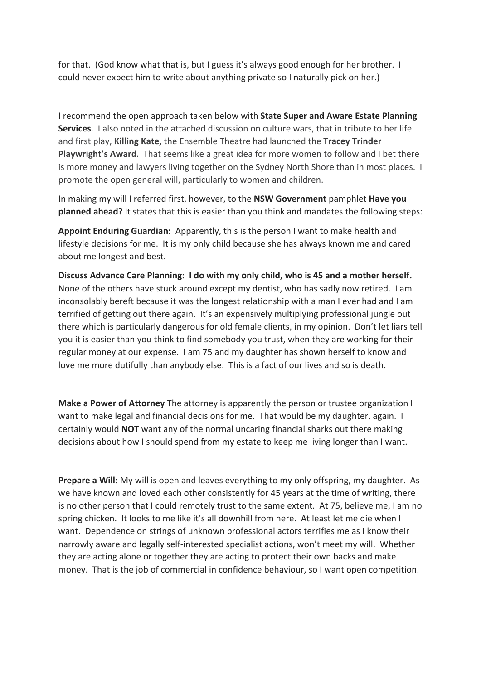for that. (God know what that is, but I guess it's always good enough for her brother. I could never expect him to write about anything private so I naturally pick on her.)

I recommend the open approach taken below with **State Super and Aware Estate Planning Services**. I also noted in the attached discussion on culture wars, that in tribute to her life and first play, **Killing Kate,** the Ensemble Theatre had launched the **Tracey Trinder Playwright's Award**. That seems like a great idea for more women to follow and I bet there is more money and lawyers living together on the Sydney North Shore than in most places. I promote the open general will, particularly to women and children.

In making my will I referred first, however, to the **NSW Government** pamphlet **Have you planned ahead?** It states that this is easier than you think and mandates the following steps:

**Appoint Enduring Guardian:** Apparently, this is the person I want to make health and lifestyle decisions for me. It is my only child because she has always known me and cared about me longest and best.

**Discuss Advance Care Planning: I do with my only child, who is 45 and a mother herself.** None of the others have stuck around except my dentist, who has sadly now retired. I am inconsolably bereft because it was the longest relationship with a man I ever had and I am terrified of getting out there again. It's an expensively multiplying professional jungle out there which is particularly dangerous for old female clients, in my opinion. Don't let liars tell you it is easier than you think to find somebody you trust, when they are working for their regular money at our expense. I am 75 and my daughter has shown herself to know and love me more dutifully than anybody else. This is a fact of our lives and so is death.

**Make a Power of Attorney** The attorney is apparently the person or trustee organization I want to make legal and financial decisions for me. That would be my daughter, again. I certainly would **NOT** want any of the normal uncaring financial sharks out there making decisions about how I should spend from my estate to keep me living longer than I want.

**Prepare a Will:** My will is open and leaves everything to my only offspring, my daughter. As we have known and loved each other consistently for 45 years at the time of writing, there is no other person that I could remotely trust to the same extent. At 75, believe me, I am no spring chicken. It looks to me like it's all downhill from here. At least let me die when I want. Dependence on strings of unknown professional actors terrifies me as I know their narrowly aware and legally self-interested specialist actions, won't meet my will. Whether they are acting alone or together they are acting to protect their own backs and make money. That is the job of commercial in confidence behaviour, so I want open competition.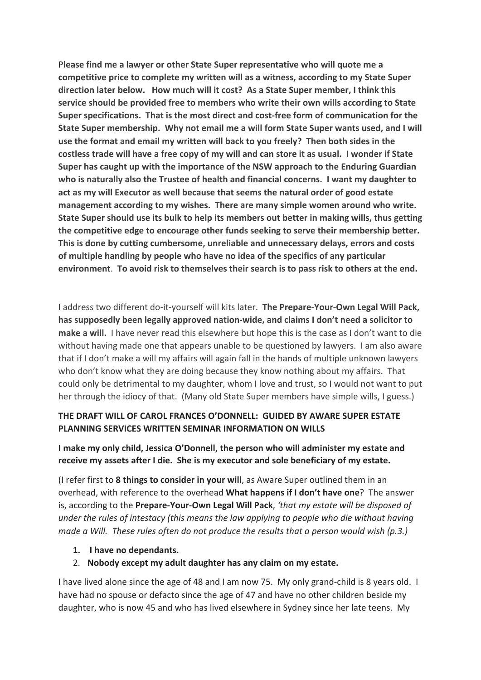P**lease find me a lawyer or other State Super representative who will quote me a competitive price to complete my written will as a witness, according to my State Super direction later below. How much will it cost? As a State Super member, I think this service should be provided free to members who write their own wills according to State Super specifications. That is the most direct and cost-free form of communication for the State Super membership. Why not email me a will form State Super wants used, and I will use the format and email my written will back to you freely? Then both sides in the costless trade will have a free copy of my will and can store it as usual. I wonder if State Super has caught up with the importance of the NSW approach to the Enduring Guardian who is naturally also the Trustee of health and financial concerns. I want my daughter to act as my will Executor as well because that seems the natural order of good estate management according to my wishes. There are many simple women around who write. State Super should use its bulk to help its members out better in making wills, thus getting the competitive edge to encourage other funds seeking to serve their membership better. This is done by cutting cumbersome, unreliable and unnecessary delays, errors and costs of multiple handling by people who have no idea of the specifics of any particular environment**. **To avoid risk to themselves their search is to pass risk to others at the end.**

I address two different do-it-yourself will kits later. **The Prepare-Your-Own Legal Will Pack, has supposedly been legally approved nation-wide, and claims I don't need a solicitor to make a will.** I have never read this elsewhere but hope this is the case as I don't want to die without having made one that appears unable to be questioned by lawyers. I am also aware that if I don't make a will my affairs will again fall in the hands of multiple unknown lawyers who don't know what they are doing because they know nothing about my affairs. That could only be detrimental to my daughter, whom I love and trust, so I would not want to put her through the idiocy of that. (Many old State Super members have simple wills, I guess.)

# **THE DRAFT WILL OF CAROL FRANCES O'DONNELL: GUIDED BY AWARE SUPER ESTATE PLANNING SERVICES WRITTEN SEMINAR INFORMATION ON WILLS**

## **I make my only child, Jessica O'Donnell, the person who will administer my estate and receive my assets after I die. She is my executor and sole beneficiary of my estate.**

(I refer first to **8 things to consider in your will**, as Aware Super outlined them in an overhead, with reference to the overhead **What happens if I don't have one**? The answer is, according to the **Prepare-Your-Own Legal Will Pack**, *'that my estate will be disposed of under the rules of intestacy (this means the law applying to people who die without having made a Will. These rules often do not produce the results that a person would wish (p.3.)*

- **1. I have no dependants.**
- 2. **Nobody except my adult daughter has any claim on my estate.**

I have lived alone since the age of 48 and I am now 75. My only grand-child is 8 years old. I have had no spouse or defacto since the age of 47 and have no other children beside my daughter, who is now 45 and who has lived elsewhere in Sydney since her late teens. My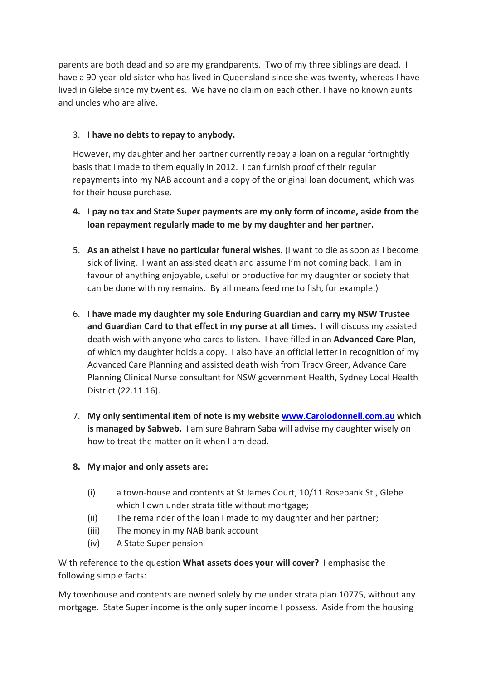parents are both dead and so are my grandparents. Two of my three siblings are dead. I have a 90-year-old sister who has lived in Queensland since she was twenty, whereas I have lived in Glebe since my twenties. We have no claim on each other. I have no known aunts and uncles who are alive.

# 3. **I have no debts to repay to anybody.**

However, my daughter and her partner currently repay a loan on a regular fortnightly basis that I made to them equally in 2012. I can furnish proof of their regular repayments into my NAB account and a copy of the original loan document, which was for their house purchase.

- **4. I pay no tax and State Super payments are my only form of income, aside from the loan repayment regularly made to me by my daughter and her partner.**
- 5. **As an atheist I have no particular funeral wishes**. (I want to die as soon as I become sick of living. I want an assisted death and assume I'm not coming back. I am in favour of anything enjoyable, useful or productive for my daughter or society that can be done with my remains. By all means feed me to fish, for example.)
- 6. **I have made my daughter my sole Enduring Guardian and carry my NSW Trustee and Guardian Card to that effect in my purse at all times.** I will discuss my assisted death wish with anyone who cares to listen. I have filled in an **Advanced Care Plan**, of which my daughter holds a copy. I also have an official letter in recognition of my Advanced Care Planning and assisted death wish from Tracy Greer, Advance Care Planning Clinical Nurse consultant for NSW government Health, Sydney Local Health District (22.11.16).
- 7. **My only sentimental item of note is my website www.Carolodonnell.com.au which is managed by Sabweb.** I am sure Bahram Saba will advise my daughter wisely on how to treat the matter on it when I am dead.

# **8. My major and only assets are:**

- (i) a town-house and contents at St James Court, 10/11 Rosebank St., Glebe which I own under strata title without mortgage;
- (ii) The remainder of the loan I made to my daughter and her partner;
- (iii) The money in my NAB bank account
- (iv) A State Super pension

With reference to the question **What assets does your will cover?** I emphasise the following simple facts:

My townhouse and contents are owned solely by me under strata plan 10775, without any mortgage. State Super income is the only super income I possess. Aside from the housing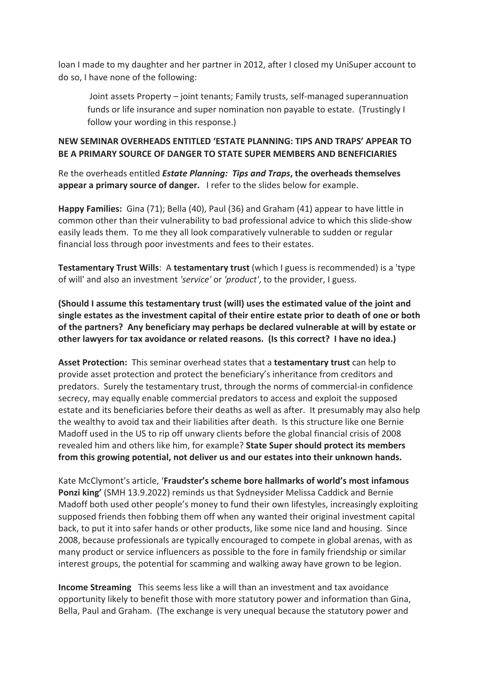loan I made to my daughter and her partner in 2012, after I closed my UniSuper account to do so, I have none of the following:

Joint assets Property – joint tenants; Family trusts, self-managed superannuation funds or life insurance and super nomination non payable to estate. (Trustingly I follow your wording in this response.)

## **NEW SEMINAR OVERHEADS ENTITLED 'ESTATE PLANNING: TIPS AND TRAPS' APPEAR TO BE A PRIMARY SOURCE OF DANGER TO STATE SUPER MEMBERS AND BENEFICIARIES**

Re the overheads entitled *Estate Planning: Tips and Traps***, the overheads themselves appear a primary source of danger.** I refer to the slides below for example.

**Happy Families:** Gina (71); Bella (40), Paul (36) and Graham (41) appear to have little in common other than their vulnerability to bad professional advice to which this slide-show easily leads them. To me they all look comparatively vulnerable to sudden or regular financial loss through poor investments and fees to their estates.

**Testamentary Trust Wills**: A **testamentary trust** (which I guess is recommended) is a 'type of will' and also an investment *'service'* or *'product'*, to the provider, I guess.

**(Should I assume this testamentary trust (will) uses the estimated value of the joint and single estates as the investment capital of their entire estate prior to death of one or both of the partners? Any beneficiary may perhaps be declared vulnerable at will by estate or other lawyers for tax avoidance or related reasons. (Is this correct? I have no idea.)**

**Asset Protection:** This seminar overhead states that a **testamentary trust** can help to provide asset protection and protect the beneficiary's inheritance from creditors and predators. Surely the testamentary trust, through the norms of commercial-in confidence secrecy, may equally enable commercial predators to access and exploit the supposed estate and its beneficiaries before their deaths as well as after. It presumably may also help the wealthy to avoid tax and their liabilities after death. Is this structure like one Bernie Madoff used in the US to rip off unwary clients before the global financial crisis of 2008 revealed him and others like him, for example? **State Super should protect its members from this growing potential, not deliver us and our estates into their unknown hands.** 

Kate McClymont's article, '**Fraudster's scheme bore hallmarks of world's most infamous Ponzi king'** (SMH 13.9.2022) reminds us that Sydneysider Melissa Caddick and Bernie Madoff both used other people's money to fund their own lifestyles, increasingly exploiting supposed friends then fobbing them off when any wanted their original investment capital back, to put it into safer hands or other products, like some nice land and housing. Since 2008, because professionals are typically encouraged to compete in global arenas, with as many product or service influencers as possible to the fore in family friendship or similar interest groups, the potential for scamming and walking away have grown to be legion.

**Income Streaming** This seems less like a will than an investment and tax avoidance opportunity likely to benefit those with more statutory power and information than Gina, Bella, Paul and Graham. (The exchange is very unequal because the statutory power and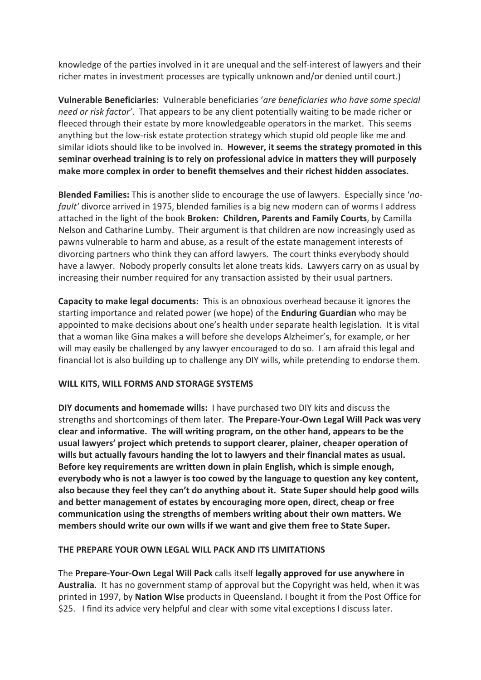knowledge of the parties involved in it are unequal and the self-interest of lawyers and their richer mates in investment processes are typically unknown and/or denied until court.)

**Vulnerable Beneficiaries**: Vulnerable beneficiaries '*are beneficiaries who have some special need or risk factor'*. That appears to be any client potentially waiting to be made richer or fleeced through their estate by more knowledgeable operators in the market. This seems anything but the low-risk estate protection strategy which stupid old people like me and similar idiots should like to be involved in. **However, it seems the strategy promoted in this seminar overhead training is to rely on professional advice in matters they will purposely make more complex in order to benefit themselves and their richest hidden associates.** 

**Blended Families:** This is another slide to encourage the use of lawyers. Especially since '*nofault'* divorce arrived in 1975, blended families is a big new modern can of worms I address attached in the light of the book **Broken: Children, Parents and Family Courts**, by Camilla Nelson and Catharine Lumby. Their argument is that children are now increasingly used as pawns vulnerable to harm and abuse, as a result of the estate management interests of divorcing partners who think they can afford lawyers. The court thinks everybody should have a lawyer. Nobody properly consults let alone treats kids. Lawyers carry on as usual by increasing their number required for any transaction assisted by their usual partners.

**Capacity to make legal documents:** This is an obnoxious overhead because it ignores the starting importance and related power (we hope) of the **Enduring Guardian** who may be appointed to make decisions about one's health under separate health legislation. It is vital that a woman like Gina makes a will before she develops Alzheimer's, for example, or her will may easily be challenged by any lawyer encouraged to do so. I am afraid this legal and financial lot is also building up to challenge any DIY wills, while pretending to endorse them.

#### **WILL KITS, WILL FORMS AND STORAGE SYSTEMS**

**DIY documents and homemade wills:** I have purchased two DIY kits and discuss the strengths and shortcomings of them later. **The Prepare-Your-Own Legal Will Pack was very clear and informative. The will writing program, on the other hand, appears to be the usual lawyers' project which pretends to support clearer, plainer, cheaper operation of wills but actually favours handing the lot to lawyers and their financial mates as usual. Before key requirements are written down in plain English, which is simple enough, everybody who is not a lawyer is too cowed by the language to question any key content, also because they feel they can't do anything about it. State Super should help good wills and better management of estates by encouraging more open, direct, cheap or free communication using the strengths of members writing about their own matters. We members should write our own wills if we want and give them free to State Super.**

## **THE PREPARE YOUR OWN LEGAL WILL PACK AND ITS LIMITATIONS**

The **Prepare-Your-Own Legal Will Pack** calls itself **legally approved for use anywhere in Australia**. It has no government stamp of approval but the Copyright was held, when it was printed in 1997, by **Nation Wise** products in Queensland. I bought it from the Post Office for \$25. I find its advice very helpful and clear with some vital exceptions I discuss later.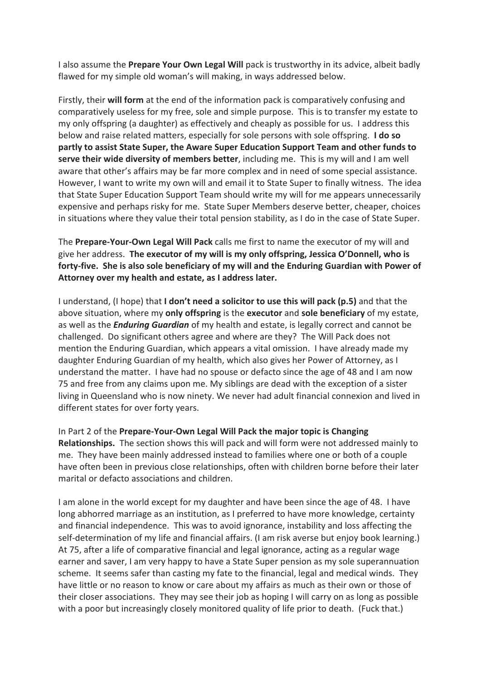I also assume the **Prepare Your Own Legal Will** pack is trustworthy in its advice, albeit badly flawed for my simple old woman's will making, in ways addressed below.

Firstly, their **will form** at the end of the information pack is comparatively confusing and comparatively useless for my free, sole and simple purpose. This is to transfer my estate to my only offspring (a daughter) as effectively and cheaply as possible for us. I address this below and raise related matters, especially for sole persons with sole offspring. **I do so partly to assist State Super, the Aware Super Education Support Team and other funds to serve their wide diversity of members better**, including me. This is my will and I am well aware that other's affairs may be far more complex and in need of some special assistance. However, I want to write my own will and email it to State Super to finally witness. The idea that State Super Education Support Team should write my will for me appears unnecessarily expensive and perhaps risky for me. State Super Members deserve better, cheaper, choices in situations where they value their total pension stability, as I do in the case of State Super.

The **Prepare-Your-Own Legal Will Pack** calls me first to name the executor of my will and give her address. **The executor of my will is my only offspring, Jessica O'Donnell, who is forty-five. She is also sole beneficiary of my will and the Enduring Guardian with Power of Attorney over my health and estate, as I address later.** 

I understand, (I hope) that **I don't need a solicitor to use this will pack (p.5)** and that the above situation, where my **only offspring** is the **executor** and **sole beneficiary** of my estate, as well as the *Enduring Guardian* of my health and estate, is legally correct and cannot be challenged. Do significant others agree and where are they? The Will Pack does not mention the Enduring Guardian, which appears a vital omission. I have already made my daughter Enduring Guardian of my health, which also gives her Power of Attorney, as I understand the matter. I have had no spouse or defacto since the age of 48 and I am now 75 and free from any claims upon me. My siblings are dead with the exception of a sister living in Queensland who is now ninety. We never had adult financial connexion and lived in different states for over forty years.

In Part 2 of the **Prepare-Your-Own Legal Will Pack the major topic is Changing Relationships.** The section shows this will pack and will form were not addressed mainly to me. They have been mainly addressed instead to families where one or both of a couple have often been in previous close relationships, often with children borne before their later marital or defacto associations and children.

I am alone in the world except for my daughter and have been since the age of 48. I have long abhorred marriage as an institution, as I preferred to have more knowledge, certainty and financial independence. This was to avoid ignorance, instability and loss affecting the self-determination of my life and financial affairs. (I am risk averse but enjoy book learning.) At 75, after a life of comparative financial and legal ignorance, acting as a regular wage earner and saver, I am very happy to have a State Super pension as my sole superannuation scheme. It seems safer than casting my fate to the financial, legal and medical winds. They have little or no reason to know or care about my affairs as much as their own or those of their closer associations. They may see their job as hoping I will carry on as long as possible with a poor but increasingly closely monitored quality of life prior to death. (Fuck that.)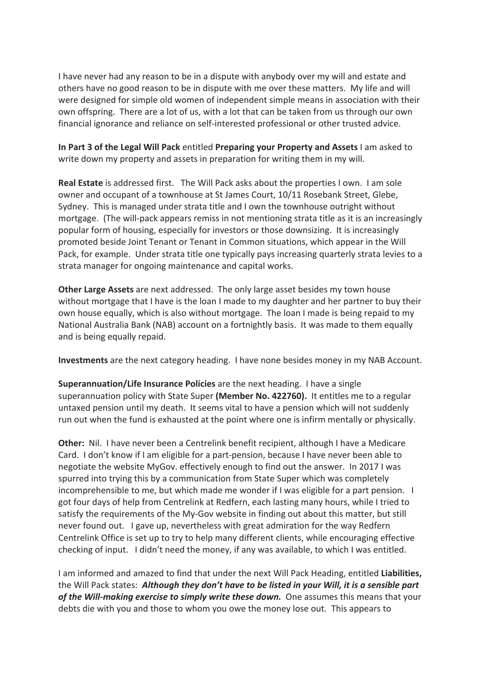I have never had any reason to be in a dispute with anybody over my will and estate and others have no good reason to be in dispute with me over these matters. My life and will were designed for simple old women of independent simple means in association with their own offspring. There are a lot of us, with a lot that can be taken from us through our own financial ignorance and reliance on self-interested professional or other trusted advice.

**In Part 3 of the Legal Will Pack** entitled **Preparing your Property and Assets** I am asked to write down my property and assets in preparation for writing them in my will.

**Real Estate** is addressed first. The Will Pack asks about the properties I own. I am sole owner and occupant of a townhouse at St James Court, 10/11 Rosebank Street, Glebe, Sydney. This is managed under strata title and I own the townhouse outright without mortgage. (The will-pack appears remiss in not mentioning strata title as it is an increasingly popular form of housing, especially for investors or those downsizing. It is increasingly promoted beside Joint Tenant or Tenant in Common situations, which appear in the Will Pack, for example. Under strata title one typically pays increasing quarterly strata levies to a strata manager for ongoing maintenance and capital works.

**Other Large Assets** are next addressed. The only large asset besides my town house without mortgage that I have is the loan I made to my daughter and her partner to buy their own house equally, which is also without mortgage. The loan I made is being repaid to my National Australia Bank (NAB) account on a fortnightly basis. It was made to them equally and is being equally repaid.

**Investments** are the next category heading. I have none besides money in my NAB Account.

**Superannuation/Life Insurance Policies** are the next heading. I have a single superannuation policy with State Super **(Member No. 422760).** It entitles me to a regular untaxed pension until my death.It seems vital to have a pension which will not suddenly run out when the fund is exhausted at the point where one is infirm mentally or physically.

**Other:** Nil. I have never been a Centrelink benefit recipient, although I have a Medicare Card. I don't know if I am eligible for a part-pension, because I have never been able to negotiate the website MyGov. effectively enough to find out the answer. In 2017 I was spurred into trying this by a communication from State Super which was completely incomprehensible to me, but which made me wonder if I was eligible for a part pension. I got four days of help from Centrelink at Redfern, each lasting many hours, while I tried to satisfy the requirements of the My-Gov website in finding out about this matter, but still never found out. I gave up, nevertheless with great admiration for the way Redfern Centrelink Office is set up to try to help many different clients, while encouraging effective checking of input. I didn't need the money, if any was available, to which I was entitled.

I am informed and amazed to find that under the next Will Pack Heading, entitled **Liabilities,**  the Will Pack states: *Although they don't have to be listed in your Will, it is a sensible part of the Will-making exercise to simply write these down.* One assumes this means that your debts die with you and those to whom you owe the money lose out. This appears to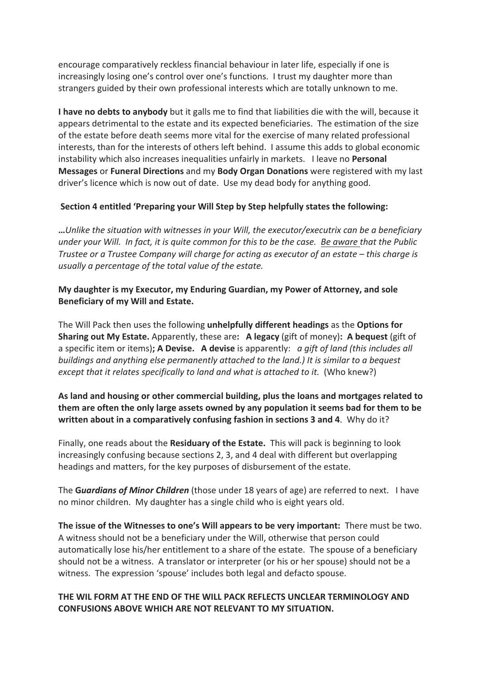encourage comparatively reckless financial behaviour in later life, especially if one is increasingly losing one's control over one's functions. I trust my daughter more than strangers guided by their own professional interests which are totally unknown to me.

**I have no debts to anybody** but it galls me to find that liabilities die with the will, because it appears detrimental to the estate and its expected beneficiaries. The estimation of the size of the estate before death seems more vital for the exercise of many related professional interests, than for the interests of others left behind. I assume this adds to global economic instability which also increases inequalities unfairly in markets. I leave no **Personal Messages** or **Funeral Directions** and my **Body Organ Donations** were registered with my last driver's licence which is now out of date. Use my dead body for anything good.

#### **Section 4 entitled 'Preparing your Will Step by Step helpfully states the following:**

**…***Unlike the situation with witnesses in your Will, the executor/executrix can be a beneficiary under your Will. In fact, it is quite common for this to be the case. Be aware that the Public Trustee or a Trustee Company will charge for acting as executor of an estate – this charge is usually a percentage of the total value of the estate.*

## **My daughter is my Executor, my Enduring Guardian, my Power of Attorney, and sole Beneficiary of my Will and Estate.**

The Will Pack then uses the following **unhelpfully different headings** as the **Options for Sharing out My Estate.** Apparently, these are**: A legacy** (gift of money)**: A bequest** (gift of a specific item or items)**; A Devise. A devise** is apparently: *a gift of land (this includes all buildings and anything else permanently attached to the land.) It is similar to a bequest except that it relates specifically to land and what is attached to it.* (Who knew?)

## **As land and housing or other commercial building, plus the loans and mortgages related to them are often the only large assets owned by any population it seems bad for them to be written about in a comparatively confusing fashion in sections 3 and 4**. Why do it?

Finally, one reads about the **Residuary of the Estate.** This will pack is beginning to look increasingly confusing because sections 2, 3, and 4 deal with different but overlapping headings and matters, for the key purposes of disbursement of the estate.

The **G***uardians of Minor Children* (those under 18 years of age) are referred to next. I have no minor children. My daughter has a single child who is eight years old.

**The issue of the Witnesses to one's Will appears to be very important:** There must be two. A witness should not be a beneficiary under the Will, otherwise that person could automatically lose his/her entitlement to a share of the estate. The spouse of a beneficiary should not be a witness. A translator or interpreter (or his or her spouse) should not be a witness. The expression 'spouse' includes both legal and defacto spouse.

## **THE WIL FORM AT THE END OF THE WILL PACK REFLECTS UNCLEAR TERMINOLOGY AND CONFUSIONS ABOVE WHICH ARE NOT RELEVANT TO MY SITUATION.**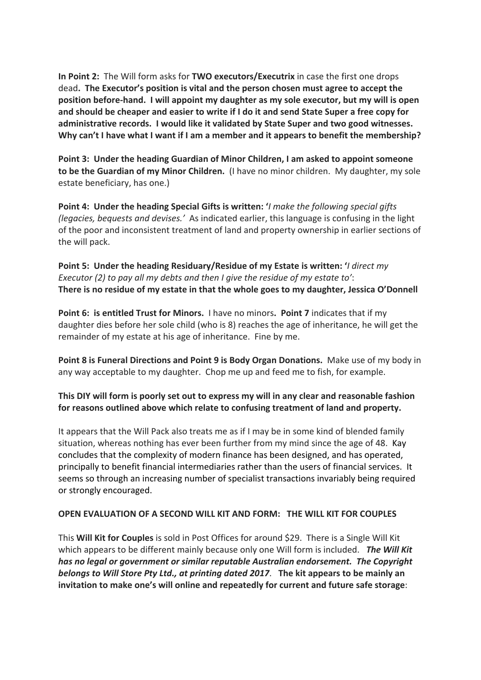**In Point 2:** The Will form asks for **TWO executors/Executrix** in case the first one drops dead**. The Executor's position is vital and the person chosen must agree to accept the position before-hand. I will appoint my daughter as my sole executor, but my will is open and should be cheaper and easier to write if I do it and send State Super a free copy for administrative records. I would like it validated by State Super and two good witnesses. Why can't I have what I want if I am a member and it appears to benefit the membership?**

**Point 3: Under the heading Guardian of Minor Children, I am asked to appoint someone to be the Guardian of my Minor Children.** (I have no minor children. My daughter, my sole estate beneficiary, has one.)

**Point 4: Under the heading Special Gifts is written: '***I make the following special gifts (legacies, bequests and devises.'* As indicated earlier, this language is confusing in the light of the poor and inconsistent treatment of land and property ownership in earlier sections of the will pack.

**Point 5: Under the heading Residuary/Residue of my Estate is written: '***I direct my Executor (2) to pay all my debts and then I give the residue of my estate to'*: **There is no residue of my estate in that the whole goes to my daughter, Jessica O'Donnell**

**Point 6: is entitled Trust for Minors.** I have no minors**. Point 7** indicates that if my daughter dies before her sole child (who is 8) reaches the age of inheritance, he will get the remainder of my estate at his age of inheritance. Fine by me.

**Point 8 is Funeral Directions and Point 9 is Body Organ Donations.** Make use of my body in any way acceptable to my daughter. Chop me up and feed me to fish, for example.

## **This DIY will form is poorly set out to express my will in any clear and reasonable fashion for reasons outlined above which relate to confusing treatment of land and property.**

It appears that the Will Pack also treats me as if I may be in some kind of blended family situation, whereas nothing has ever been further from my mind since the age of 48. Kay concludes that the complexity of modern finance has been designed, and has operated, principally to benefit financial intermediaries rather than the users of financial services. It seems so through an increasing number of specialist transactions invariably being required or strongly encouraged.

## **OPEN EVALUATION OF A SECOND WILL KIT AND FORM: THE WILL KIT FOR COUPLES**

This **Will Kit for Couples** is sold in Post Offices for around \$29. There is a Single Will Kit which appears to be different mainly because only one Will form is included. *The Will Kit has no legal or government or similar reputable Australian endorsement. The Copyright belongs to Will Store Pty Ltd., at printing dated 2017*. **The kit appears to be mainly an invitation to make one's will online and repeatedly for current and future safe storage**: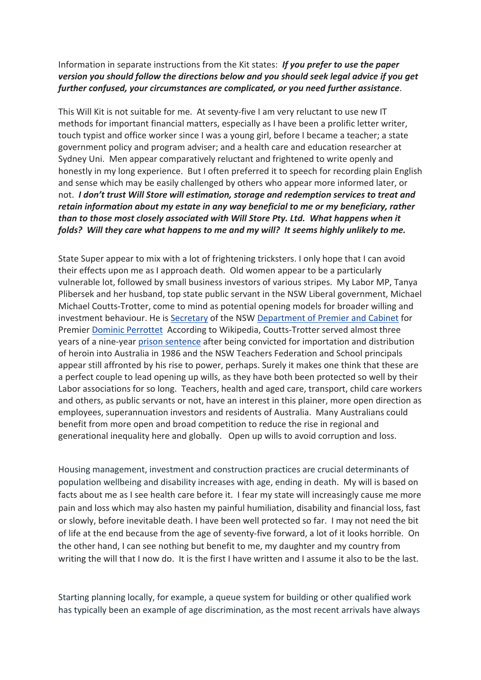## Information in separate instructions from the Kit states: *If you prefer to use the paper version you should follow the directions below and you should seek legal advice if you get further confused, your circumstances are complicated, or you need further assistance*.

This Will Kit is not suitable for me. At seventy-five I am very reluctant to use new IT methods for important financial matters, especially as I have been a prolific letter writer, touch typist and office worker since I was a young girl, before I became a teacher; a state government policy and program adviser; and a health care and education researcher at Sydney Uni. Men appear comparatively reluctant and frightened to write openly and honestly in my long experience. But I often preferred it to speech for recording plain English and sense which may be easily challenged by others who appear more informed later, or not. *I don't trust Will Store will estimation, storage and redemption services to treat and retain information about my estate in any way beneficial to me or my beneficiary, rather than to those most closely associated with Will Store Pty. Ltd. What happens when it folds? Will they care what happens to me and my will? It seems highly unlikely to me.* 

State Super appear to mix with a lot of frightening tricksters. I only hope that I can avoid their effects upon me as I approach death. Old women appear to be a particularly vulnerable lot, followed by small business investors of various stripes. My Labor MP, Tanya Plibersek and her husband, top state public servant in the NSW Liberal government, Michael Michael Coutts-Trotter, come to mind as potential opening models for broader willing and investment behaviour. He is Secretary of the NSW Department of Premier and Cabinet for Premier Dominic Perrottet According to Wikipedia, Coutts-Trotter served almost three years of a nine-year prison sentence after being convicted for importation and distribution of heroin into Australia in 1986 and the NSW Teachers Federation and School principals appear still affronted by his rise to power, perhaps. Surely it makes one think that these are a perfect couple to lead opening up wills, as they have both been protected so well by their Labor associations for so long. Teachers, health and aged care, transport, child care workers and others, as public servants or not, have an interest in this plainer, more open direction as employees, superannuation investors and residents of Australia. Many Australians could benefit from more open and broad competition to reduce the rise in regional and generational inequality here and globally. Open up wills to avoid corruption and loss.

Housing management, investment and construction practices are crucial determinants of population wellbeing and disability increases with age, ending in death. My will is based on facts about me as I see health care before it. I fear my state will increasingly cause me more pain and loss which may also hasten my painful humiliation, disability and financial loss, fast or slowly, before inevitable death. I have been well protected so far. I may not need the bit of life at the end because from the age of seventy-five forward, a lot of it looks horrible. On the other hand, I can see nothing but benefit to me, my daughter and my country from writing the will that I now do. It is the first I have written and I assume it also to be the last.

Starting planning locally, for example, a queue system for building or other qualified work has typically been an example of age discrimination, as the most recent arrivals have always